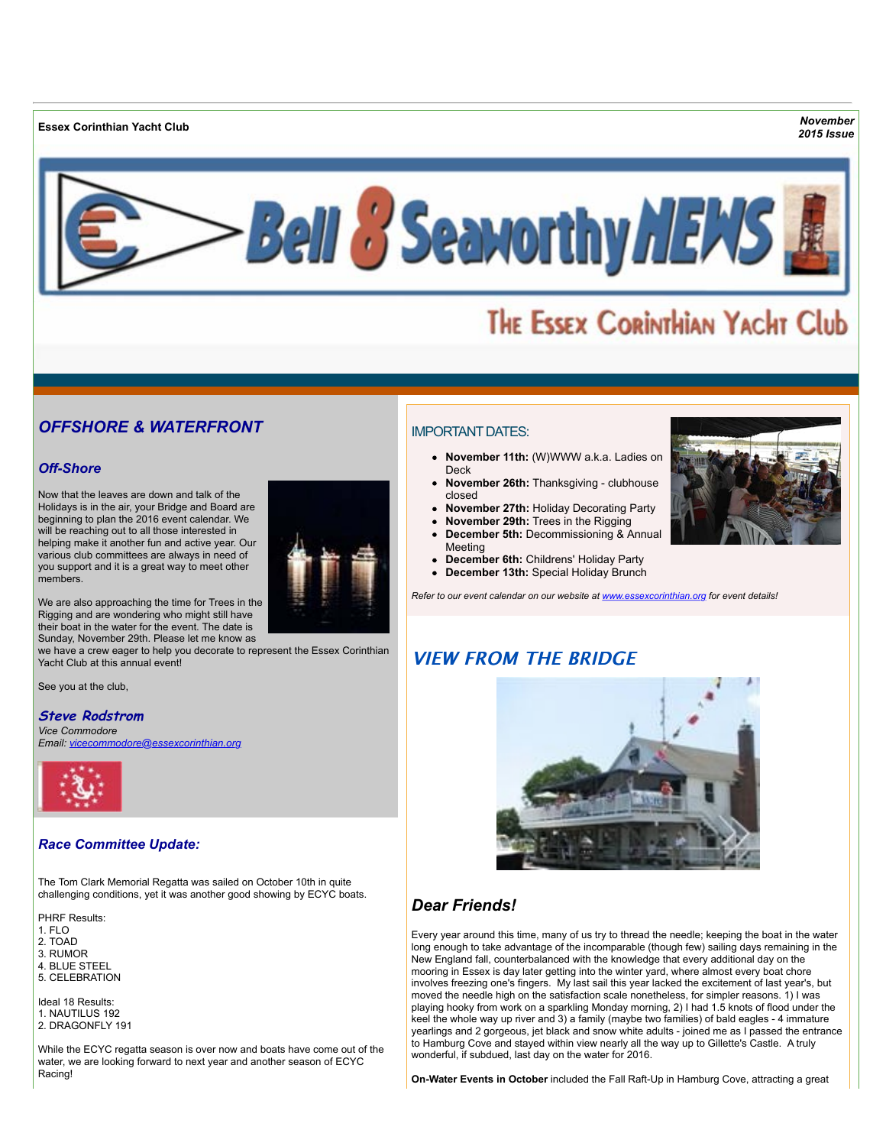**Essex Corinthian Yacht Club** *November*

*2015 Issue*



# THE ESSEX CORINTHIAN YACHT Club

# *OFFSHORE & WATERFRONT*

## *Off-Shore*

Now that the leaves are down and talk of the Holidays is in the air, your Bridge and Board are beginning to plan the 2016 event calendar. We will be reaching out to all those interested in helping make it another fun and active year. Our various club committees are always in need of you support and it is a great way to meet other members.



We are also approaching the time for Trees in the Rigging and are wondering who might still have their boat in the water for the event. The date is Sunday, November 29th. Please let me know as

we have a crew eager to help you decorate to represent the Essex Corinthian Yacht Club at this annual event!

See you at the club,

## **Steve Rodstrom**

*Vice Commodore Email: [vicecommodore@essexcorinthian.org](mailto:vicecommodore@essexcorinthian.org)*



### *Race Committee Update:*

The Tom Clark Memorial Regatta was sailed on October 10th in quite challenging conditions, yet it was another good showing by ECYC boats.

PHRF Results:

- 1. FLO
- 2. TOAD
- 3. RUMOR
- 4. BLUE STEEL 5. CELEBRATION
- 

Ideal 18 Results: 1. NAUTILUS 192 2. DRAGONFLY 191

While the ECYC regatta season is over now and boats have come out of the water, we are looking forward to next year and another season of ECYC Racing!

# IMPORTANT DATES:

- **November 11th:** (W)WWW a.k.a. Ladies on Deck
- **November 26th:** Thanksgiving clubhouse closed
- **November 27th:** Holiday Decorating Party
- **November 29th:** Trees in the Rigging **December 5th:** Decommissioning & Annual
- Meeting **December 6th:** Childrens' Holiday Party
- **December 13th:** Special Holiday Brunch

*Refer to our event calendar on our website at [www.essexcorinthian.org](http://r20.rs6.net/tn.jsp?e=001oCVEWmhE_53Ks2hfDGrdsJmulr3bZ2WN6v6B8TLtgvIRTV0Mocau9WafsJQnm4xhKaRieGEYmwClTEEXGopmpG4PpWN4rgXjAl-e5Dl9DhOoUmIj7tX7ww==) for event details!*

# **VIEW FROM THE BRIDGE**



# *Dear Friends!*

Every year around this time, many of us try to thread the needle; keeping the boat in the water long enough to take advantage of the incomparable (though few) sailing days remaining in the New England fall, counterbalanced with the knowledge that every additional day on the mooring in Essex is day later getting into the winter yard, where almost every boat chore involves freezing one's fingers. My last sail this year lacked the excitement of last year's, but moved the needle high on the satisfaction scale nonetheless, for simpler reasons. 1) I was playing hooky from work on a sparkling Monday morning, 2) I had 1.5 knots of flood under the keel the whole way up river and 3) a family (maybe two families) of bald eagles - 4 immature yearlings and 2 gorgeous, jet black and snow white adults - joined me as I passed the entrance to Hamburg Cove and stayed within view nearly all the way up to Gillette's Castle. A truly wonderful, if subdued, last day on the water for 2016.

**On-Water Events in October** included the Fall Raft-Up in Hamburg Cove, attracting a great

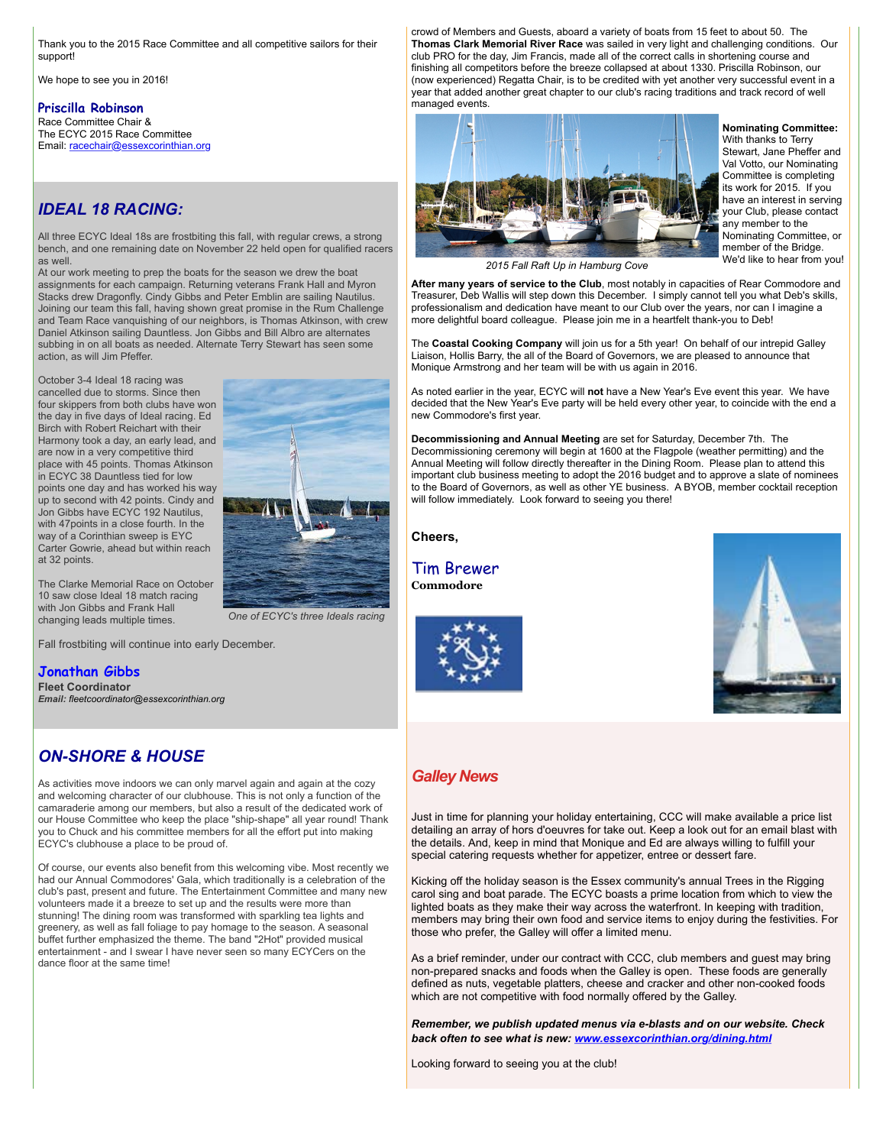Thank you to the 2015 Race Committee and all competitive sailors for their support!

We hope to see you in 2016!

#### **Priscilla Robinson**

Race Committee Chair & The ECYC 2015 Race Committee Email: [racechair@essexcorinthian.org](mailto:racechair@essexcorinthian.org) 

# *IDEAL 18 RACING:*

All three ECYC Ideal 18s are frostbiting this fall, with regular crews, a strong bench, and one remaining date on November 22 held open for qualified racers as well.

At our work meeting to prep the boats for the season we drew the boat assignments for each campaign. Returning veterans Frank Hall and Myron Stacks drew Dragonfly. Cindy Gibbs and Peter Emblin are sailing Nautilus. Joining our team this fall, having shown great promise in the Rum Challenge and Team Race vanquishing of our neighbors, is Thomas Atkinson, with crew Daniel Atkinson sailing Dauntless. Jon Gibbs and Bill Albro are alternates subbing in on all boats as needed. Alternate Terry Stewart has seen some action, as will Jim Pfeffer.

October 3-4 Ideal 18 racing was cancelled due to storms. Since then four skippers from both clubs have won the day in five days of Ideal racing. Ed Birch with Robert Reichart with their Harmony took a day, an early lead, and are now in a very competitive third place with 45 points. Thomas Atkinson in ECYC 38 Dauntless tied for low points one day and has worked his way up to second with 42 points. Cindy and Jon Gibbs have ECYC 192 Nautilus, with 47points in a close fourth. In the way of a Corinthian sweep is EYC Carter Gowrie, ahead but within reach at 32 points.



The Clarke Memorial Race on October 10 saw close Ideal 18 match racing with Jon Gibbs and Frank Hall changing leads multiple times.

Fall frostbiting will continue into early December.

# **Jonathan Gibbs**

**Fleet Coordinator** *Email: [fleetcoordinator@essexcorinthian.org](mailto:fleetcoordinator@essexcorinthian.org)*

# *ON-SHORE & HOUSE*

As activities move indoors we can only marvel again and again at the cozy and welcoming character of our clubhouse. This is not only a function of the camaraderie among our members, but also a result of the dedicated work of our House Committee who keep the place "ship-shape" all year round! Thank you to Chuck and his committee members for all the effort put into making ECYC's clubhouse a place to be proud of.

Of course, our events also benefit from this welcoming vibe. Most recently we had our Annual Commodores' Gala, which traditionally is a celebration of the club's past, present and future. The Entertainment Committee and many new volunteers made it a breeze to set up and the results were more than stunning! The dining room was transformed with sparkling tea lights and greenery, as well as fall foliage to pay homage to the season. A seasonal buffet further emphasized the theme. The band "2Hot" provided musical entertainment - and I swear I have never seen so many ECYCers on the dance floor at the same time!

crowd of Members and Guests, aboard a variety of boats from 15 feet to about 50. The **Thomas Clark Memorial River Race** was sailed in very light and challenging conditions. Our club PRO for the day, Jim Francis, made all of the correct calls in shortening course and finishing all competitors before the breeze collapsed at about 1330. Priscilla Robinson, our (now experienced) Regatta Chair, is to be credited with yet another very successful event in a year that added another great chapter to our club's racing traditions and track record of well managed events.



### **Nominating Committee:**

With thanks to Terry Stewart, Jane Pheffer and Val Votto, our Nominating Committee is completing its work for 2015. If you have an interest in serving your Club, please contact any member to the Nominating Committee, or member of the Bridge. We'd like to hear from you!

*2015 Fall Raft Up in Hamburg Cove*

**After many years of service to the Club**, most notably in capacities of Rear Commodore and Treasurer, Deb Wallis will step down this December. I simply cannot tell you what Deb's skills, professionalism and dedication have meant to our Club over the years, nor can I imagine a more delightful board colleague. Please join me in a heartfelt thank-you to Deb!

The **Coastal Cooking Company** will join us for a 5th year! On behalf of our intrepid Galley Liaison, Hollis Barry, the all of the Board of Governors, we are pleased to announce that Monique Armstrong and her team will be with us again in 2016.

As noted earlier in the year, ECYC will **not** have a New Year's Eve event this year. We have decided that the New Year's Eve party will be held every other year, to coincide with the end a new Commodore's first year.

**Decommissioning and Annual Meeting** are set for Saturday, December 7th. The Decommissioning ceremony will begin at 1600 at the Flagpole (weather permitting) and the Annual Meeting will follow directly thereafter in the Dining Room. Please plan to attend this important club business meeting to adopt the 2016 budget and to approve a slate of nominees to the Board of Governors, as well as other YE business. A BYOB, member cocktail reception will follow immediately. Look forward to seeing you there!

**Cheers,**

Tim Brewer **Commodore**





# *Galley News*

Just in time for planning your holiday entertaining, CCC will make available a price list detailing an array of hors d'oeuvres for take out. Keep a look out for an email blast with the details. And, keep in mind that Monique and Ed are always willing to fulfill your special catering requests whether for appetizer, entree or dessert fare.

Kicking off the holiday season is the Essex community's annual Trees in the Rigging carol sing and boat parade. The ECYC boasts a prime location from which to view the lighted boats as they make their way across the waterfront. In keeping with tradition, members may bring their own food and service items to enjoy during the festivities. For those who prefer, the Galley will offer a limited menu.

As a brief reminder, under our contract with CCC, club members and guest may bring non-prepared snacks and foods when the Galley is open. These foods are generally defined as nuts, vegetable platters, cheese and cracker and other non-cooked foods which are not competitive with food normally offered by the Galley.

*Remember, we publish updated menus via e-blasts and on our website. Check back often to see what is new: [www.essexcorinthian.org/dining.html](http://r20.rs6.net/tn.jsp?e=001oCVEWmhE_53Ks2hfDGrdsJmulr3bZ2WN6v6B8TLtgvIRTV0Mocau9WafsJQnm4xhKaRieGEYmwClTEEXGopmpG4PpWN4rgXjAl-e5Dl9DhOt-kuzPpvwFMNW3jCHQiqY)*

Looking forward to seeing you at the club!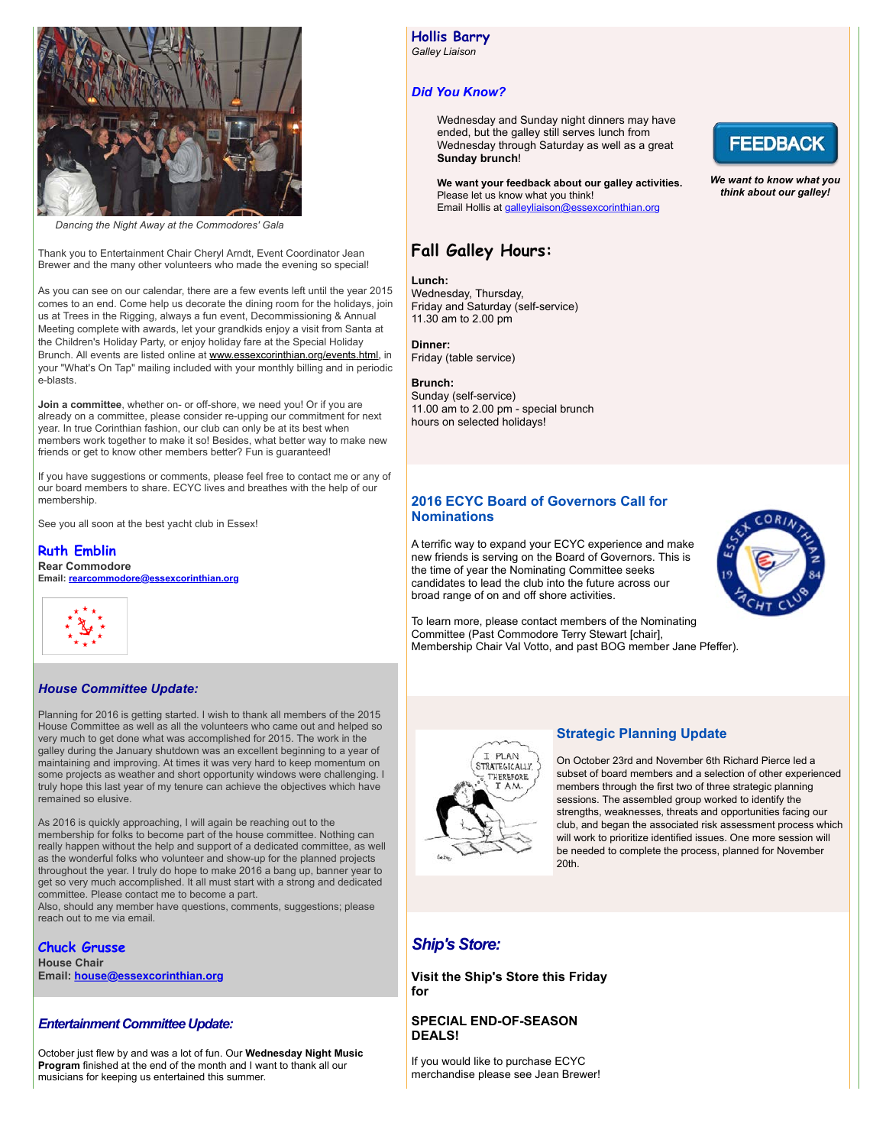

*Dancing the Night Away at the Commodores' Gala*

Thank you to Entertainment Chair Cheryl Arndt, Event Coordinator Jean Brewer and the many other volunteers who made the evening so special!

As you can see on our calendar, there are a few events left until the year 2015 comes to an end. Come help us decorate the dining room for the holidays, join us at Trees in the Rigging, always a fun event, Decommissioning & Annual Meeting complete with awards, let your grandkids enjoy a visit from Santa at the Children's Holiday Party, or enjoy holiday fare at the Special Holiday Brunch. All events are listed online at [www.essexcorinthian.org/events.html,](http://r20.rs6.net/tn.jsp?e=001oCVEWmhE_53Ks2hfDGrdsJmulr3bZ2WN6v6B8TLtgvIRTV0Mocau9WafsJQnm4xhKaRieGEYmwClTEEXGopmpG4PpWN4rgXjAl-e5Dl9DhMao-ArBMYRQF61U0R7UMB7) in your "What's On Tap" mailing included with your monthly billing and in periodic e-blasts.

**Join a committee**, whether on- or off-shore, we need you! Or if you are already on a committee, please consider re-upping our commitment for next year. In true Corinthian fashion, our club can only be at its best when members work together to make it so! Besides, what better way to make new friends or get to know other members better? Fun is guaranteed!

If you have suggestions or comments, please feel free to contact me or any of our board members to share. ECYC lives and breathes with the help of our membership.

See you all soon at the best yacht club in Essex!

### **Ruth Emblin**

**Rear Commodore Email: [rearcommodore@essexcorinthian.org](mailto:rearcommodore@essexcorinthian.org)**



### *House Committee Update:*

Planning for 2016 is getting started. I wish to thank all members of the 2015 House Committee as well as all the volunteers who came out and helped so very much to get done what was accomplished for 2015. The work in the galley during the January shutdown was an excellent beginning to a year of maintaining and improving. At times it was very hard to keep momentum on some projects as weather and short opportunity windows were challenging. I truly hope this last year of my tenure can achieve the objectives which have remained so elusive.

As 2016 is quickly approaching, I will again be reaching out to the membership for folks to become part of the house committee. Nothing can really happen without the help and support of a dedicated committee, as well as the wonderful folks who volunteer and show-up for the planned projects throughout the year. I truly do hope to make 2016 a bang up, banner year to get so very much accomplished. It all must start with a strong and dedicated committee. Please contact me to become a part.

Also, should any member have questions, comments, suggestions; please reach out to me via email.

# **Chuck Grusse**

**House Chair Email: [house@essexcorinthian.org](mailto:house@essexcorinthian.org)**

#### *Entertainment Committee Update:*

October just flew by and was a lot of fun. Our **Wednesday Night Music Program** finished at the end of the month and I want to thank all our musicians for keeping us entertained this summer.

**Hollis Barry** *Galley Liaison*

# *Did You Know?*

Wednesday and Sunday night dinners may have ended, but the galley still serves lunch from Wednesday through Saturday as well as a great **Sunday brunch**!

**We want your feedback about our galley activities.** Please let us know what you think! Email Hollis at [galleyliaison@essexcorinthian.org](mailto:galleyliaison@essexcorinthian.org)

# **Fall Galley Hours:**

#### **Lunch:**

Wednesday, Thursday, Friday and Saturday (self-service) 11.30 am to 2.00 pm

### **Dinner:**

Friday (table service)

#### **Brunch:**

Sunday (self-service) 11.00 am to 2.00 pm - special brunch hours on selected holidays!

## **2016 ECYC Board of Governors Call for Nominations**

A terrific way to expand your ECYC experience and make new friends is serving on the Board of Governors. This is the time of year the Nominating Committee seeks candidates to lead the club into the future across our broad range of on and off shore activities.



To learn more, please contact members of the Nominating Committee (Past Commodore Terry Stewart [chair], Membership Chair Val Votto, and past BOG member Jane Pfeffer).

# I PLAN **STRATEGICALLY** THEREFORE **TAM**

#### **Strategic Planning Update**

On October 23rd and November 6th Richard Pierce led a subset of board members and a selection of other experienced members through the first two of three strategic planning sessions. The assembled group worked to identify the strengths, weaknesses, threats and opportunities facing our club, and began the associated risk assessment process which will work to prioritize identified issues. One more session will be needed to complete the process, planned for November 20th.

# *Ship's Store:*

**Visit the Ship's Store this Friday for**

### **SPECIAL END-OF-SEASON DEALS!**

If you would like to purchase ECYC merchandise please see Jean Brewer!



*We want to know what you think about our galley!*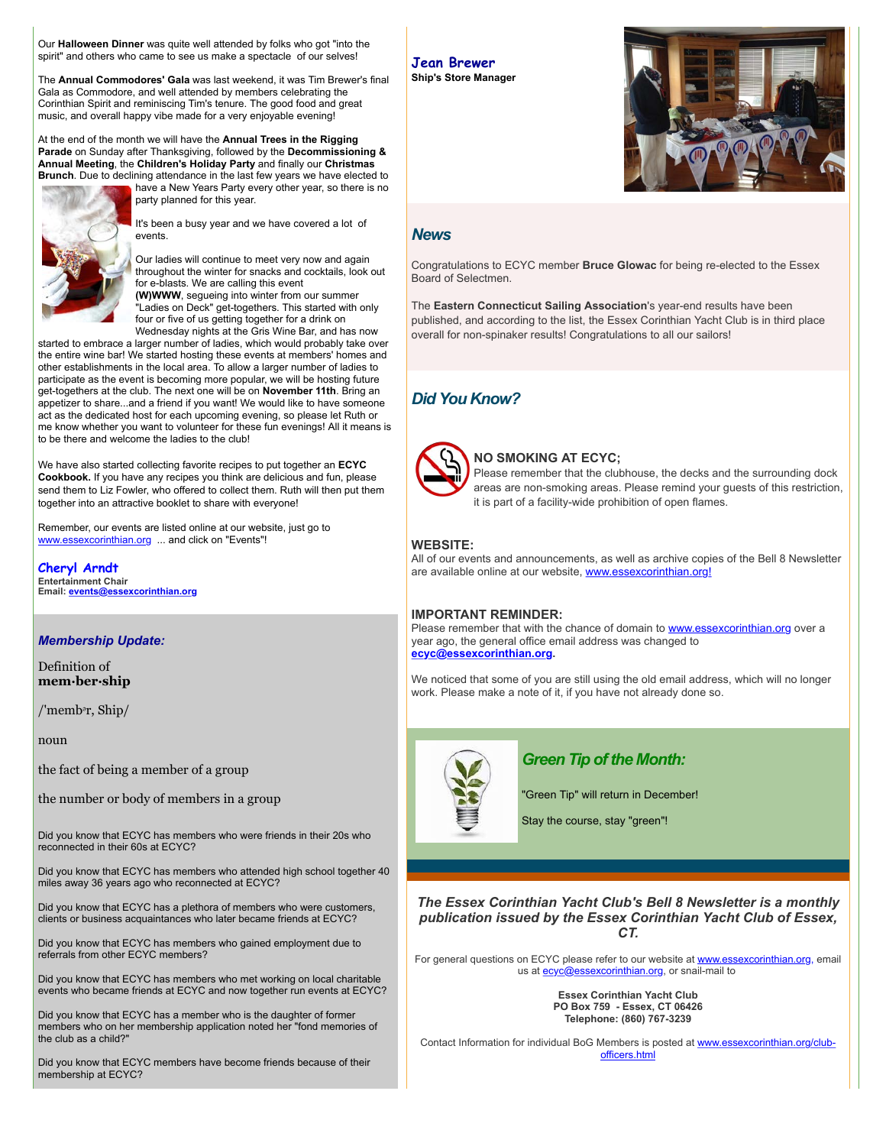Our **Halloween Dinner** was quite well attended by folks who got "into the spirit" and others who came to see us make a spectacle of our selves!

The **Annual Commodores' Gala** was last weekend, it was Tim Brewer's final Gala as Commodore, and well attended by members celebrating the Corinthian Spirit and reminiscing Tim's tenure. The good food and great music, and overall happy vibe made for a very enjoyable evening!

At the end of the month we will have the **Annual Trees in the Rigging Parade** on Sunday after Thanksgiving, followed by the **Decommissioning & Annual Meeting**, the **Children's Holiday Party** and finally our **Christmas Brunch**. Due to declining attendance in the last few years we have elected to



have a New Years Party every other year, so there is no party planned for this year.

It's been a busy year and we have covered a lot of events.

Our ladies will continue to meet very now and again throughout the winter for snacks and cocktails, look out for e-blasts. We are calling this event **(W)WWW**, segueing into winter from our summer "Ladies on Deck" get-togethers. This started with only four or five of us getting together for a drink on Wednesday nights at the Gris Wine Bar, and has now

started to embrace a larger number of ladies, which would probably take over the entire wine bar! We started hosting these events at members' homes and other establishments in the local area. To allow a larger number of ladies to participate as the event is becoming more popular, we will be hosting future get-togethers at the club. The next one will be on **November 11th**. Bring an appetizer to share...and a friend if you want! We would like to have someone act as the dedicated host for each upcoming evening, so please let Ruth or me know whether you want to volunteer for these fun evenings! All it means is to be there and welcome the ladies to the club!

We have also started collecting favorite recipes to put together an **ECYC Cookbook.** If you have any recipes you think are delicious and fun, please send them to Liz Fowler, who offered to collect them. Ruth will then put them together into an attractive booklet to share with everyone!

Remember, our events are listed online at our website, just go to [www.essexcorinthian.org](http://r20.rs6.net/tn.jsp?e=001oCVEWmhE_53Ks2hfDGrdsJmulr3bZ2WN6v6B8TLtgvIRTV0Mocau9WafsJQnm4xhKaRieGEYmwClTEEXGopmpG4PpWN4rgXjAl-e5Dl9DhOoUmIj7tX7ww==) ... and click on "Events"!

**Cheryl Arndt Entertainment Chair Email: [events@essexcorinthian.org](mailto:events@essexcorinthian.org)**

#### *Membership Update:*

Definition of **mem·ber·ship**

/'membᵊr, Ship/

noun

the fact of being a member of a group

the number or body of members in a group

Did you know that ECYC has members who were friends in their 20s who reconnected in their 60s at ECYC?

Did you know that ECYC has members who attended high school together 40 miles away 36 years ago who reconnected at ECYC?

Did you know that ECYC has a plethora of members who were customers, clients or business acquaintances who later became friends at ECYC?

Did you know that ECYC has members who gained employment due to referrals from other ECYC members?

Did you know that ECYC has members who met working on local charitable events who became friends at ECYC and now together run events at ECYC?

Did you know that ECYC has a member who is the daughter of former members who on her membership application noted her "fond memories of the club as a child?"

Did you know that ECYC members have become friends because of their membership at ECYC?

#### **Jean Brewer Ship's Store Manager**



## *News*

Congratulations to ECYC member **Bruce Glowac** for being re-elected to the Essex Board of Selectmen.

The **Eastern Connecticut Sailing Association**'s year-end results have been published, and according to the list, the Essex Corinthian Yacht Club is in third place overall for non-spinaker results! Congratulations to all our sailors!

# *Did You Know?*



### **NO SMOKING AT ECYC;**

Please remember that the clubhouse, the decks and the surrounding dock areas are non-smoking areas. Please remind your guests of this restriction, it is part of a facility-wide prohibition of open flames.

# **WEBSITE:**

All of our events and announcements, as well as archive copies of the Bell 8 Newsletter are available online at our website, [www.essexcorinthian.org!](http://r20.rs6.net/tn.jsp?e=001oCVEWmhE_53Ks2hfDGrdsJmulr3bZ2WN6v6B8TLtgvIRTV0Mocau9WafsJQnm4xhKaRieGEYmwClTEEXGopmpG4PpWN4rgXjAl-e5Dl9DhNL54haeKQFpw==)

# **IMPORTANT REMINDER:**

Please remember that with the chance of domain to [www.essexcorinthian.org](http://r20.rs6.net/tn.jsp?e=001oCVEWmhE_53Ks2hfDGrdsJmulr3bZ2WN6v6B8TLtgvIRTV0Mocau9WafsJQnm4xhKaRieGEYmwClTEEXGopmpG4PpWN4rgXjAl-e5Dl9DhOoUmIj7tX7ww==) over a year ago, the general office email address was changed to **[ecyc@essexcorinthian.org.](mailto:ecyc@essexcorinthian.org)** 

We noticed that some of you are still using the old email address, which will no longer work. Please make a note of it, if you have not already done so.



# *Green Tip of the Month:*

"Green Tip" will return in December!

Stay the course, stay "green"!

*The Essex Corinthian Yacht Club's Bell 8 Newsletter is a monthly publication issued by the Essex Corinthian Yacht Club of Essex, CT.*

For general questions on ECYC please refer to our website at [www.essexcorinthian.org,](http://r20.rs6.net/tn.jsp?e=001oCVEWmhE_53Ks2hfDGrdsJmulr3bZ2WN6v6B8TLtgvIRTV0Mocau9WafsJQnm4xhKaRieGEYmwClTEEXGopmpG4PpWN4rgXjAl-e5Dl9DhOoUmIj7tX7ww==) email us at **ecyc@essexcorinthian.org**, or snail-mail to

> **Essex Corinthian Yacht Club PO Box 759 - Essex, CT 06426 Telephone: (860) 767-3239**

Contact Information for individual BoG [Members is posted at www.essexcorinthian.org/club](http://r20.rs6.net/tn.jsp?e=001oCVEWmhE_53Ks2hfDGrdsJmulr3bZ2WN6v6B8TLtgvIRTV0Mocau9WafsJQnm4xhKaRieGEYmwClTEEXGopmpG4PpWN4rgXjAl-e5Dl9DhPhsoXJWUliETV2p_n8-BdMn68KK22Z8QE=)officers.html